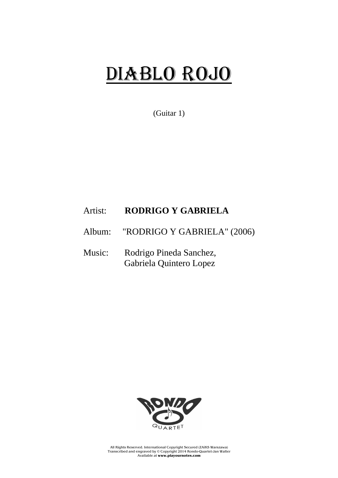## DIABLO ROJO

(Guitar 1)

## Artist: **RODRIGO Y GABRIELA**

Album: "RODRIGO Y GABRIELA" (2006)

Music: Rodrigo Pineda Sanchez, Gabriela Quintero Lopez



All Rights Reserved. International Copyright Secured (ZAiKS Warszawa) Transcribed and engraved by © Copyright 2014 Rondo-Quartet-Jan Walter Available at **www.playournotes.com**